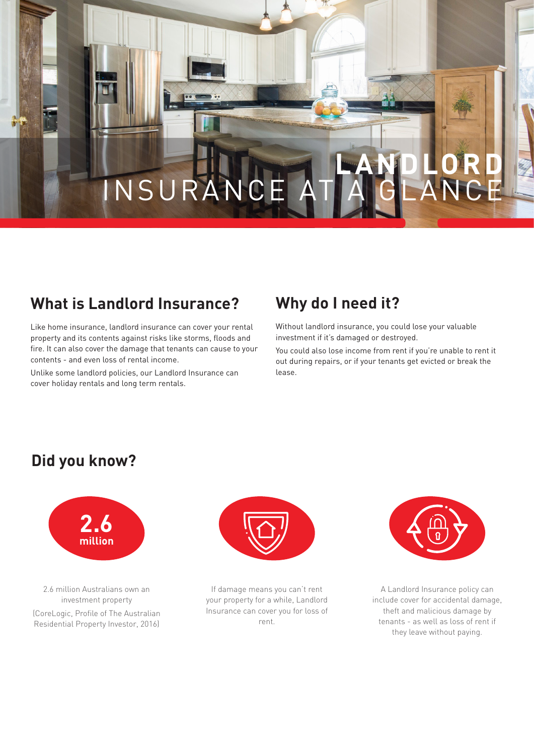# **LANDLORD** INSURANC

# **What is Landlord Insurance?**

Like home insurance, landlord insurance can cover your rental property and its contents against risks like storms, floods and fire. It can also cover the damage that tenants can cause to your contents - and even loss of rental income.

Unlike some landlord policies, our Landlord Insurance can cover holiday rentals and long term rentals.

# **Why do I need it?**

Without landlord insurance, you could lose your valuable investment if it's damaged or destroyed.

You could also lose income from rent if you're unable to rent it out during repairs, or if your tenants get evicted or break the lease.

#### **Did you know?**



2.6 million Australians own an investment property (CoreLogic, Profile of The Australian Residential Property Investor, 2016)



If damage means you can't rent your property for a while, Landlord Insurance can cover you for loss of rent.



A Landlord Insurance policy can include cover for accidental damage, theft and malicious damage by tenants - as well as loss of rent if they leave without paying.